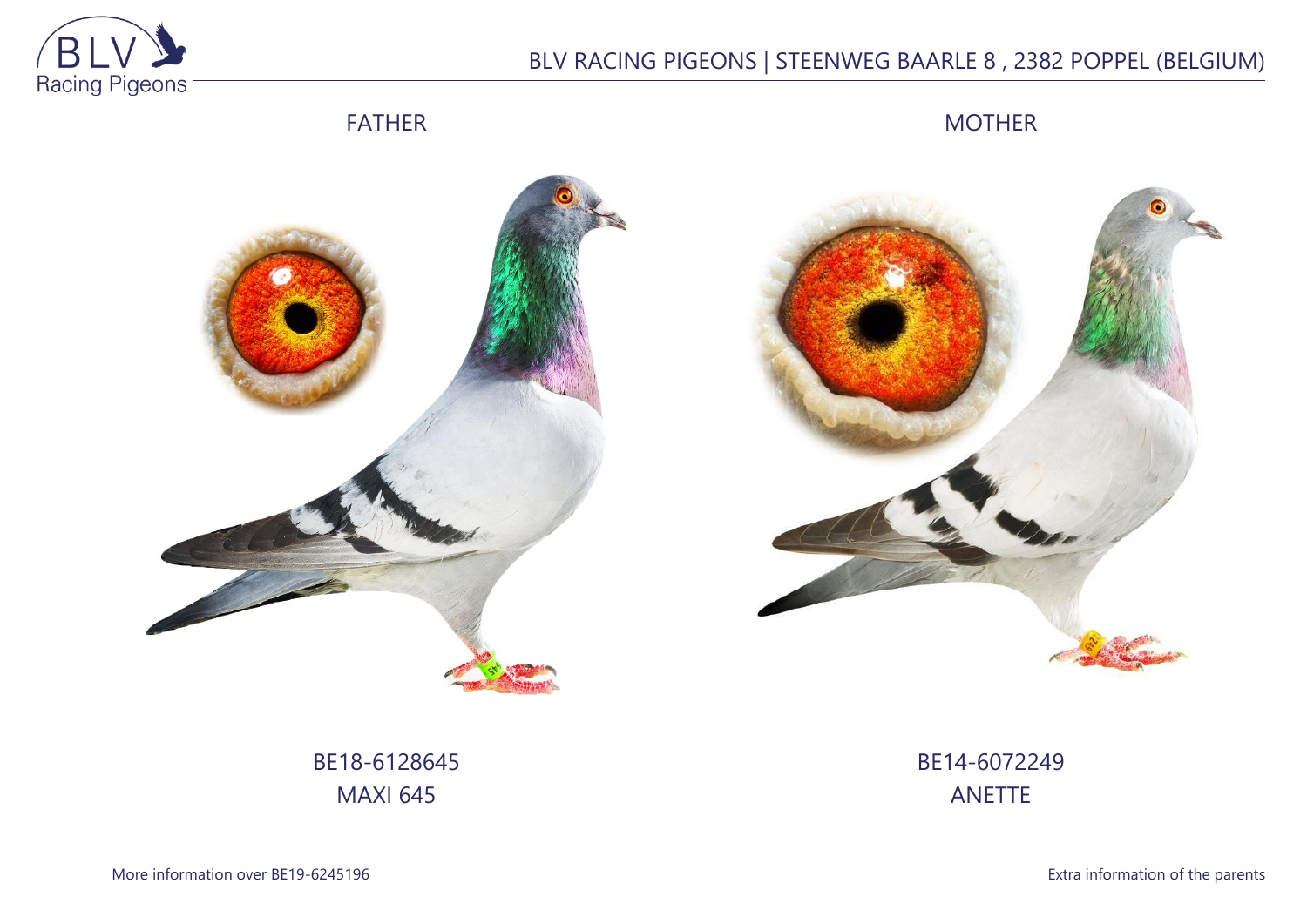

# BLV RACING PIGEONS | STEENWEG BAARLE 8 , 2382 POPPEL (BELGIUM)

## FATHER

MOTHER





BE18-6128645 MAXI 645

BE14-6072249 ANETTE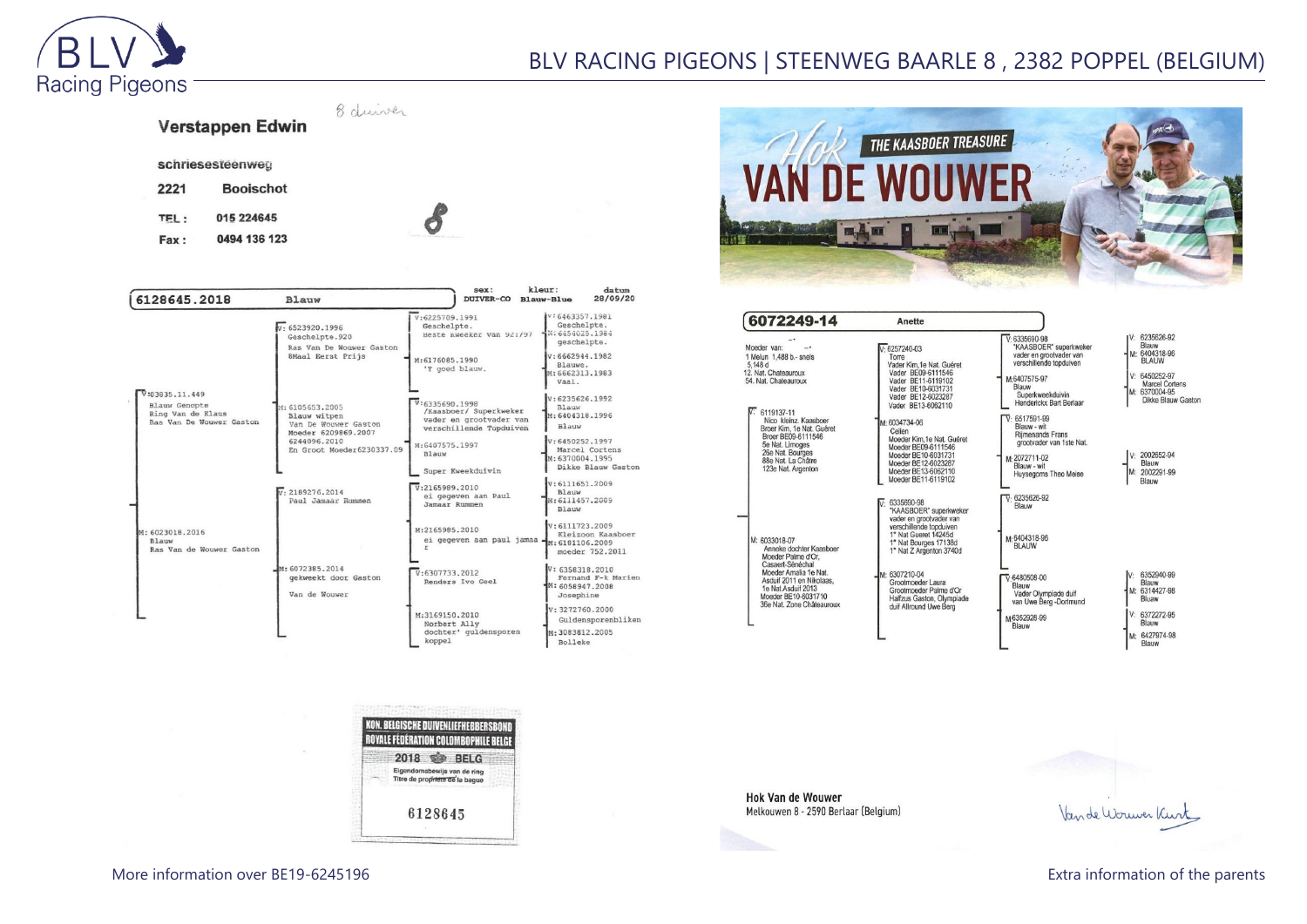

## BLV RACING PIGEONS | STEENWEG BAARLE 8 , 2382 POPPEL (BELGIUM)

8 duiver Verstappen Edwin O

0494 136 123 Fax:

**Booischot** 

015 224645

schriesesteenweg

2221

TEL:

| 6128645.2018                                                                     | <b>Blauw</b>                                                                                                                | sex:<br><b>DUIVER-CO</b>                                                                                                  | kleur:<br>datum<br>28/09/20<br>Blauw-Blue                                                                                               |
|----------------------------------------------------------------------------------|-----------------------------------------------------------------------------------------------------------------------------|---------------------------------------------------------------------------------------------------------------------------|-----------------------------------------------------------------------------------------------------------------------------------------|
|                                                                                  | $v - 6523920.1996$<br>Geschelpte.920<br>Ras Van De Wouwer Gaston<br>8Maal Eerst Prijs                                       | V:6225709.1991<br>Geschelpte.<br>Beste Kweeker van 92:797<br>M:6176085.1990<br>'T goed blauw.                             | V:6463357.1981<br>Geschelpte.<br>4N: 6454025.1984<br>geschelpte.<br>V:6662944.1982<br>Blauwe.<br>M: 6662313, 1983<br>Vaal.              |
| V:03835.11.449<br>Blauw Genopte<br>Ring Van de Klaus<br>Ras Van De Wouwer Gaston | M: 6105653.2005<br>Blauw witpen<br>Van De Wouwer Gaston<br>Moeder 6209869.2007<br>6244096.2010<br>En Groot Moeder6230337.09 | V:6335690.1998<br>/Kaasboer/ Superkweker<br>vader en grootvader van<br>verschillende Topduiven<br>M:6407575.1997<br>Blauw | V:6235626.1992<br><b>Blauw</b><br>M: 6404318.1996<br>Blauw<br>V:6450252.1997<br>Marcel Cortens<br>M: 6370004.1995<br>Dikke Blauw Gaston |
|                                                                                  | v.2189276.2014<br>Paul Jamaar Rummen                                                                                        | Super Kweekduivin<br>V:2165989.2010<br>ei gegeven aan Paul<br>Jamaar Rummen                                               | V:6111651.2009<br>Blauw<br>M: 6111457, 2009<br>Blauw                                                                                    |
| M: 6023018, 2016<br>Blauw<br>Ras Van de Wouwer Gaston                            |                                                                                                                             | M:2165985.2010<br>ei gegeven aan paul jamaa -M: 6181106.2009                                                              | V:6111723.2009<br>Kleizoon Kaasboer<br>moeder 752.2011                                                                                  |
|                                                                                  | M: 6072385.2014<br>gekweekt door Gaston<br>Van de Wouwer                                                                    | V:6307733.2012<br>Renders Ivo Geel                                                                                        | V: 6358318.2010<br>Fernand F-k Marien<br>M: 6058947.2008<br>Josephine                                                                   |
|                                                                                  |                                                                                                                             | M:3169150.2010<br>Norbert Ally<br>dochter' quldensporen<br>koppel                                                         | V: 3272760, 2000<br>Guldensporenbliken<br>M: 3083812.2005<br><b>Bolleke</b>                                                             |

KON. BELGISCHE DUIVENLIEFHEBBERSBOI ROYALE FÉDÉRATION COLOMBOPHILE BELGE 2018 \$ BELG Eigendomsbewijs van de ring<br>Titre de propriete de la baque

6128645



| 6072249-14                                                                                                                                                                                                        | Anette                                                                                                                                                                  |                                                                                                                                                                         |                                                                                                                                          |
|-------------------------------------------------------------------------------------------------------------------------------------------------------------------------------------------------------------------|-------------------------------------------------------------------------------------------------------------------------------------------------------------------------|-------------------------------------------------------------------------------------------------------------------------------------------------------------------------|------------------------------------------------------------------------------------------------------------------------------------------|
| Moeder van:<br>1 Melun 1,488 b.- snels<br>5.148 d<br>12. Nat. Chateauroux<br>54. Nat. Chateauroux                                                                                                                 | $V: 6257240-03$<br>Torre<br>Vader Kim, 1e Nat. Guéret<br>Vader BE09-6111546<br>Vader BE11-6119102<br>Vader BE10-6031731<br>Vader BE12-6023287<br>Vader BE13-6062110     | $V: 6335690-98$<br>"KAASBOER" superkweker<br>vader en grootvader van<br>verschillende topduiven<br>M:6407575-97<br>Blauw<br>Superkweekduivin<br>Henderickx Bart Berlaar | V: 6235626-92<br>Blauw<br>M: 6404318-96<br><b>BLAUW</b><br>V: 6450252-97<br><b>Marcel Cortens</b><br>M: 6370004-95<br>Dikke Blauw Gaston |
| $\n  W: 6119137-11\n$<br>Nico kleinz, Kaasboer<br>Broer Kim, 1e Nat. Guéret<br>Broer BE09-6111546<br>5e Nat. Limoges<br>26e Nat. Bourges<br>88e Nat. La Châtre<br>123e Nat. Argenton                              | M: 6034734-06<br>Celien<br>Moeder Kim.1e Nat. Guéret<br>Moeder BE09-6111546<br>Moeder BE10-6031731<br>Moeder BE12-6023287<br>Moeder BE13-6062110<br>Moeder BE11-6119102 | $V: 6517591-99$<br>Blauw - wit<br><b>Rijmenands Frans</b><br>grootvader van 1ste Nat.<br>M:2072711-02<br>Blauw - wit<br>Huysegoms Theo Meise                            | V: 2002652-94<br>Blauw<br>M: 2002291-99<br>Blauw                                                                                         |
| M: 6033018-07<br>Anneke dochter Kaasboer<br>Moeder Palme d'Or.<br>Casaert-Sénéchal<br>Moeder Amalia 1e Nat.<br>Asduif 2011 en Nikolaas.<br>1e Nat.Asduif 2013<br>Moeder BE10-6031710<br>36e Nat. Zone Châteauroux | 6335690-98<br>"KAASBOER" superkweker<br>vader en grootvader van<br>verschillende topduiven<br>1° Nat Gueret 14245d<br>1° Nat Bourges 17138d<br>1° Nat Z Argenton 3740d  | $\overline{V}$ 6235626-92<br>Blauw<br>м-6404318-96<br><b>BLAUW</b>                                                                                                      |                                                                                                                                          |
|                                                                                                                                                                                                                   | M: 6307210-04<br>Grootmoeder Laura<br>Grootmoeder Palme d'Or<br>Halfzus Gaston, Olympiade<br>duif Allround Uwe Berg                                                     | $V.6480508-00$<br>Blauw<br>Vader Olympiade duif<br>van Uwe Berg -Dortmund                                                                                               | 6352940-99<br>IV:<br>Blauw<br>M: 6314427-98<br>Bluaw<br>V: 6372272-95                                                                    |
|                                                                                                                                                                                                                   |                                                                                                                                                                         | M6352928-99<br>Blauw                                                                                                                                                    | Blauw<br>M: 6427974-98<br>Blauw                                                                                                          |

**Hok Van de Wouwer** Melkouwen 8 - 2590 Berlaar (Belgium)

 $\overline{60}$ 

Van de Worwer Kurt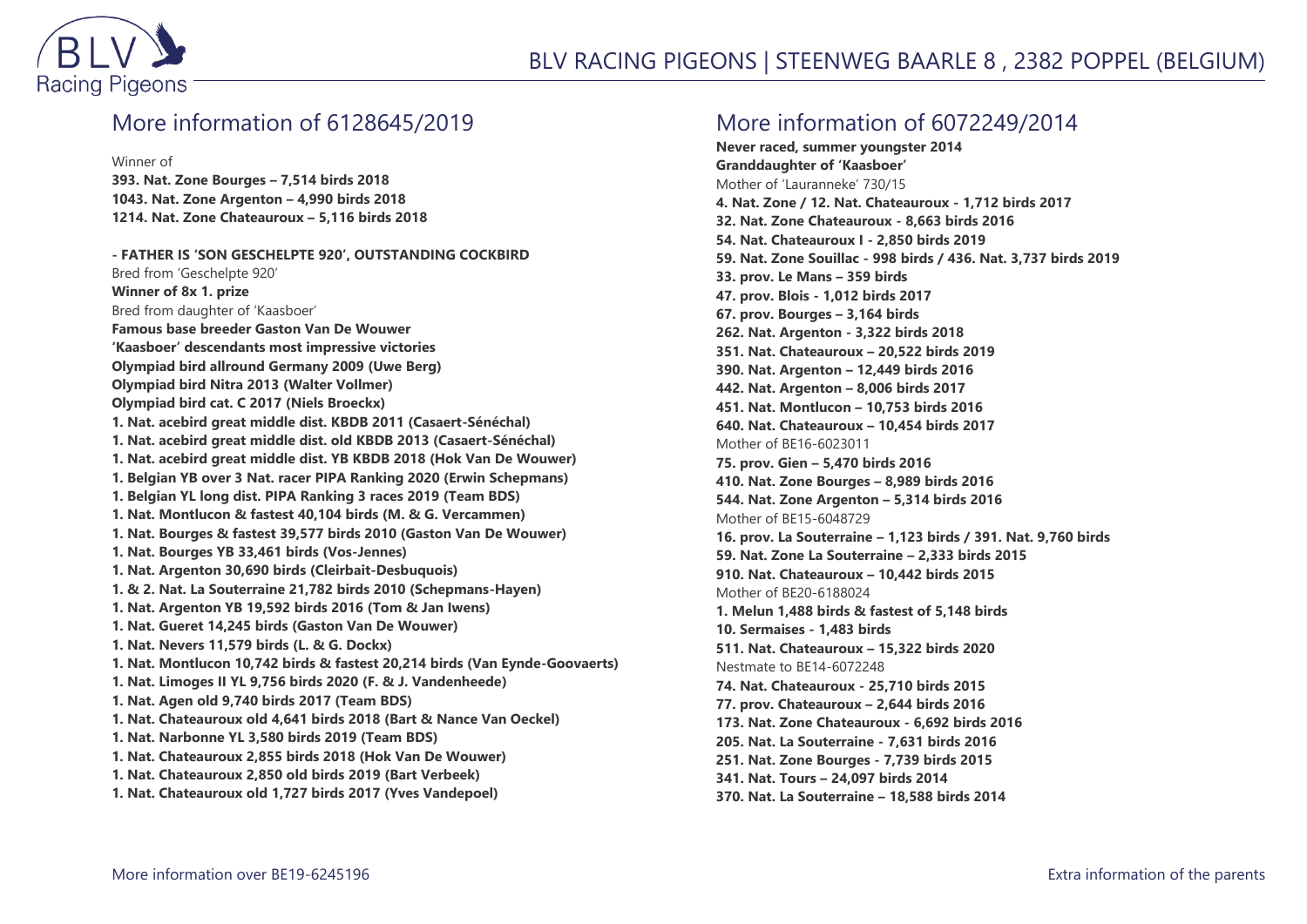

#### More information of 6128645/2019

Winner of

**393. Nat. Zone Bourges – 7,514 birds 2018 1043. Nat. Zone Argenton – 4,990 birds 2018 1214. Nat. Zone Chateauroux – 5,116 birds 2018**

**- FATHER IS 'SON GESCHELPTE 920', OUTSTANDING COCKBIRD** Bred from 'Geschelpte 920' **Winner of 8x 1. prize** Bred from daughter of 'Kaasboer' **Famous base breeder Gaston Van De Wouwer 'Kaasboer' descendants most impressive victories Olympiad bird allround Germany 2009 (Uwe Berg) Olympiad bird Nitra 2013 (Walter Vollmer) Olympiad bird cat. C 2017 (Niels Broeckx) 1. Nat. acebird great middle dist. KBDB 2011 (Casaert-Sénéchal) 1. Nat. acebird great middle dist. old KBDB 2013 (Casaert-Sénéchal) 1. Nat. acebird great middle dist. YB KBDB 2018 (Hok Van De Wouwer) 1. Belgian YB over 3 Nat. racer PIPA Ranking 2020 (Erwin Schepmans) 1. Belgian YL long dist. PIPA Ranking 3 races 2019 (Team BDS) 1. Nat. Montlucon & fastest 40,104 birds (M. & G. Vercammen) 1. Nat. Bourges & fastest 39,577 birds 2010 (Gaston Van De Wouwer) 1. Nat. Bourges YB 33,461 birds (Vos-Jennes) 1. Nat. Argenton 30,690 birds (Cleirbait-Desbuquois) 1. & 2. Nat. La Souterraine 21,782 birds 2010 (Schepmans-Hayen) 1. Nat. Argenton YB 19,592 birds 2016 (Tom & Jan Iwens) 1. Nat. Gueret 14,245 birds (Gaston Van De Wouwer) 1. Nat. Nevers 11,579 birds (L. & G. Dockx) 1. Nat. Montlucon 10,742 birds & fastest 20,214 birds (Van Eynde-Goovaerts) 1. Nat. Limoges II YL 9,756 birds 2020 (F. & J. Vandenheede) 1. Nat. Agen old 9,740 birds 2017 (Team BDS) 1. Nat. Chateauroux old 4,641 birds 2018 (Bart & Nance Van Oeckel) 1. Nat. Narbonne YL 3,580 birds 2019 (Team BDS) 1. Nat. Chateauroux 2,855 birds 2018 (Hok Van De Wouwer) 1. Nat. Chateauroux 2,850 old birds 2019 (Bart Verbeek) 1. Nat. Chateauroux old 1,727 birds 2017 (Yves Vandepoel)**

#### More information of 6072249/2014

**Never raced, summer youngster 2014 Granddaughter of 'Kaasboer'** Mother of 'Lauranneke' 730/15 **4. Nat. Zone / 12. Nat. Chateauroux - 1,712 birds 2017 32. Nat. Zone Chateauroux - 8,663 birds 2016 54. Nat. Chateauroux I - 2,850 birds 2019 59. Nat. Zone Souillac - 998 birds / 436. Nat. 3,737 birds 2019 33. prov. Le Mans – 359 birds 47. prov. Blois - 1,012 birds 2017 67. prov. Bourges – 3,164 birds 262. Nat. Argenton - 3,322 birds 2018 351. Nat. Chateauroux – 20,522 birds 2019 390. Nat. Argenton – 12,449 birds 2016 442. Nat. Argenton – 8,006 birds 2017 451. Nat. Montlucon – 10,753 birds 2016 640. Nat. Chateauroux – 10,454 birds 2017** Mother of BE16-6023011 **75. prov. Gien – 5,470 birds 2016 410. Nat. Zone Bourges – 8,989 birds 2016 544. Nat. Zone Argenton – 5,314 birds 2016** Mother of BE15-6048729 **16. prov. La Souterraine – 1,123 birds / 391. Nat. 9,760 birds 59. Nat. Zone La Souterraine – 2,333 birds 2015 910. Nat. Chateauroux – 10,442 birds 2015** Mother of BE20-6188024 **1. Melun 1,488 birds & fastest of 5,148 birds 10. Sermaises - 1,483 birds 511. Nat. Chateauroux – 15,322 birds 2020** Nestmate to BE14-6072248 **74. Nat. Chateauroux - 25,710 birds 2015 77. prov. Chateauroux – 2,644 birds 2016 173. Nat. Zone Chateauroux - 6,692 birds 2016 205. Nat. La Souterraine - 7,631 birds 2016 251. Nat. Zone Bourges - 7,739 birds 2015 341. Nat. Tours – 24,097 birds 2014 370. Nat. La Souterraine – 18,588 birds 2014**